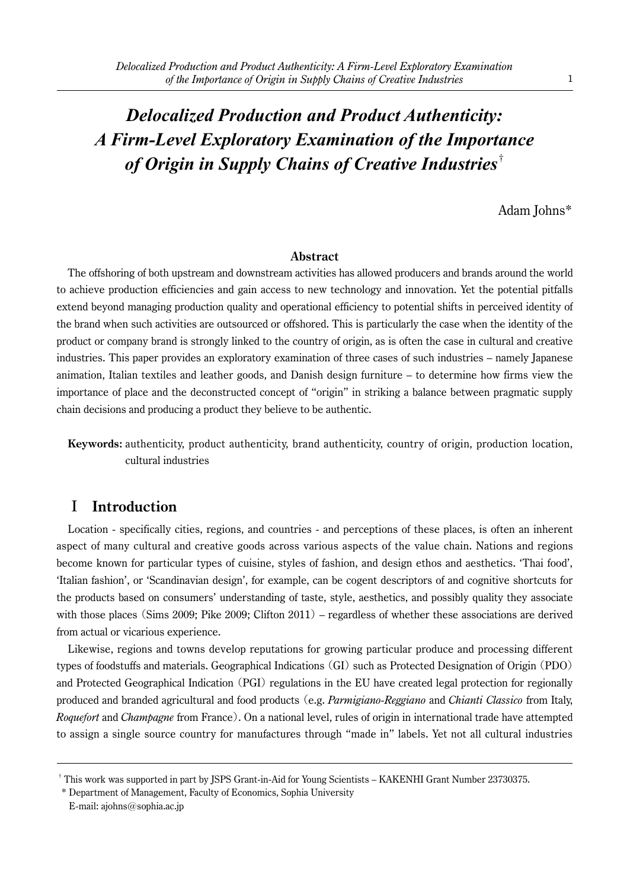# *Delocalized Production and Product Authenticity: A Firm-Level Exploratory Examination of the Importance of Origin in Supply Chains of Creative Industries*†

Adam Johns\*

#### **Abstract**

The offshoring of both upstream and downstream activities has allowed producers and brands around the world to achieve production efficiencies and gain access to new technology and innovation. Yet the potential pitfalls extend beyond managing production quality and operational efficiency to potential shifts in perceived identity of the brand when such activities are outsourced or offshored. This is particularly the case when the identity of the product or company brand is strongly linked to the country of origin, as is often the case in cultural and creative industries. This paper provides an exploratory examination of three cases of such industries – namely Japanese animation, Italian textiles and leather goods, and Danish design furniture – to determine how firms view the importance of place and the deconstructed concept of "origin" in striking a balance between pragmatic supply chain decisions and producing a product they believe to be authentic.

**Keywords:** authenticity, product authenticity, brand authenticity, country of origin, production location, cultural industries

# I **Introduction**

Location - specifically cities, regions, and countries - and perceptions of these places, is often an inherent aspect of many cultural and creative goods across various aspects of the value chain. Nations and regions become known for particular types of cuisine, styles of fashion, and design ethos and aesthetics. 'Thai food', 'Italian fashion', or 'Scandinavian design', for example, can be cogent descriptors of and cognitive shortcuts for the products based on consumers' understanding of taste, style, aesthetics, and possibly quality they associate with those places (Sims 2009; Pike 2009; Clifton 2011) – regardless of whether these associations are derived from actual or vicarious experience.

Likewise, regions and towns develop reputations for growing particular produce and processing different types of foodstuffs and materials. Geographical Indications (GI) such as Protected Designation of Origin (PDO) and Protected Geographical Indication (PGI) regulations in the EU have created legal protection for regionally produced and branded agricultural and food products (e.g. *Parmigiano-Reggiano* and *Chianti Classico* from Italy, *Roquefort* and *Champagne* from France). On a national level, rules of origin in international trade have attempted to assign a single source country for manufactures through "made in" labels. Yet not all cultural industries

<sup>†</sup> This work was supported in part by JSPS Grant-in-Aid for Young Scientists – KAKENHI Grant Number 23730375.

 <sup>\*</sup> Department of Management, Faculty of Economics, Sophia University

E-mail: ajohns@sophia.ac.jp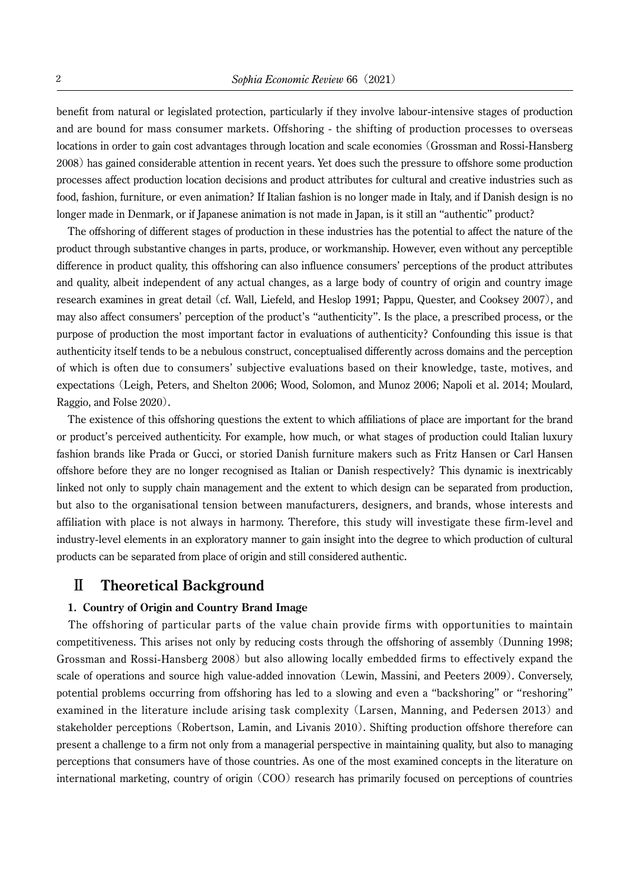benefit from natural or legislated protection, particularly if they involve labour-intensive stages of production and are bound for mass consumer markets. Offshoring - the shifting of production processes to overseas locations in order to gain cost advantages through location and scale economies (Grossman and Rossi-Hansberg 2008)has gained considerable attention in recent years. Yet does such the pressure to offshore some production processes affect production location decisions and product attributes for cultural and creative industries such as food, fashion, furniture, or even animation? If Italian fashion is no longer made in Italy, and if Danish design is no longer made in Denmark, or if Japanese animation is not made in Japan, is it still an "authentic" product?

The offshoring of different stages of production in these industries has the potential to affect the nature of the product through substantive changes in parts, produce, or workmanship. However, even without any perceptible difference in product quality, this offshoring can also influence consumers' perceptions of the product attributes and quality, albeit independent of any actual changes, as a large body of country of origin and country image research examines in great detail (cf. Wall, Liefeld, and Heslop 1991; Pappu, Quester, and Cooksey 2007), and may also affect consumers' perception of the product's "authenticity". Is the place, a prescribed process, or the purpose of production the most important factor in evaluations of authenticity? Confounding this issue is that authenticity itself tends to be a nebulous construct, conceptualised differently across domains and the perception of which is often due to consumers' subjective evaluations based on their knowledge, taste, motives, and expectations (Leigh, Peters, and Shelton 2006; Wood, Solomon, and Munoz 2006; Napoli et al. 2014; Moulard, Raggio, and Folse 2020).

The existence of this offshoring questions the extent to which affiliations of place are important for the brand or product's perceived authenticity. For example, how much, or what stages of production could Italian luxury fashion brands like Prada or Gucci, or storied Danish furniture makers such as Fritz Hansen or Carl Hansen offshore before they are no longer recognised as Italian or Danish respectively? This dynamic is inextricably linked not only to supply chain management and the extent to which design can be separated from production, but also to the organisational tension between manufacturers, designers, and brands, whose interests and affiliation with place is not always in harmony. Therefore, this study will investigate these firm-level and industry-level elements in an exploratory manner to gain insight into the degree to which production of cultural products can be separated from place of origin and still considered authentic.

# Ⅱ **Theoretical Background**

#### **1. Country of Origin and Country Brand Image**

The offshoring of particular parts of the value chain provide firms with opportunities to maintain competitiveness. This arises not only by reducing costs through the offshoring of assembly (Dunning 1998; Grossman and Rossi-Hansberg 2008) but also allowing locally embedded firms to effectively expand the scale of operations and source high value-added innovation (Lewin, Massini, and Peeters 2009). Conversely, potential problems occurring from offshoring has led to a slowing and even a "backshoring" or "reshoring" examined in the literature include arising task complexity (Larsen, Manning, and Pedersen 2013) and stakeholder perceptions (Robertson, Lamin, and Livanis 2010). Shifting production offshore therefore can present a challenge to a firm not only from a managerial perspective in maintaining quality, but also to managing perceptions that consumers have of those countries. As one of the most examined concepts in the literature on international marketing, country of origin (COO) research has primarily focused on perceptions of countries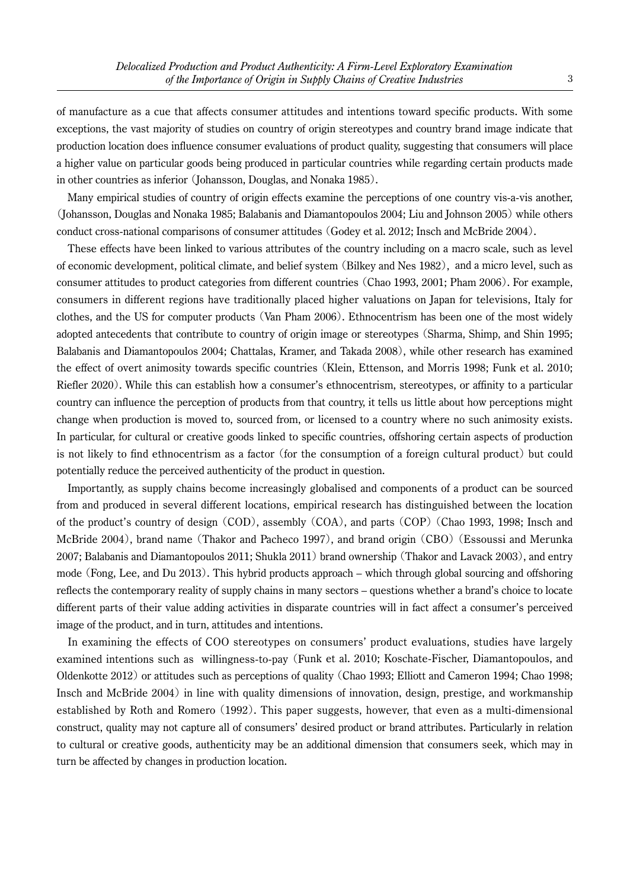of manufacture as a cue that affects consumer attitudes and intentions toward specific products. With some exceptions, the vast majority of studies on country of origin stereotypes and country brand image indicate that production location does influence consumer evaluations of product quality, suggesting that consumers will place a higher value on particular goods being produced in particular countries while regarding certain products made in other countries as inferior (Johansson, Douglas, and Nonaka 1985).

Many empirical studies of country of origin effects examine the perceptions of one country vis-a-vis another, (Johansson, Douglas and Nonaka 1985; Balabanis and Diamantopoulos 2004; Liu and Johnson 2005) while others conduct cross-national comparisons of consumer attitudes (Godey et al. 2012; Insch and McBride 2004).

These effects have been linked to various attributes of the country including on a macro scale, such as level of economic development, political climate, and belief system (Bilkey and Nes 1982), and a micro level, such as consumer attitudes to product categories from different countries (Chao 1993, 2001; Pham 2006). For example, consumers in different regions have traditionally placed higher valuations on Japan for televisions, Italy for clothes, and the US for computer products (Van Pham 2006). Ethnocentrism has been one of the most widely adopted antecedents that contribute to country of origin image or stereotypes (Sharma, Shimp, and Shin 1995; Balabanis and Diamantopoulos 2004; Chattalas, Kramer, and Takada 2008), while other research has examined the effect of overt animosity towards specific countries (Klein, Ettenson, and Morris 1998; Funk et al. 2010; Riefler 2020). While this can establish how a consumer's ethnocentrism, stereotypes, or affinity to a particular country can influence the perception of products from that country, it tells us little about how perceptions might change when production is moved to, sourced from, or licensed to a country where no such animosity exists. In particular, for cultural or creative goods linked to specific countries, offshoring certain aspects of production is not likely to find ethnocentrism as a factor (for the consumption of a foreign cultural product)but could potentially reduce the perceived authenticity of the product in question.

Importantly, as supply chains become increasingly globalised and components of a product can be sourced from and produced in several different locations, empirical research has distinguished between the location of the product's country of design (COD), assembly (COA), and parts (COP)(Chao 1993, 1998; Insch and McBride 2004), brand name (Thakor and Pacheco 1997), and brand origin (CBO)(Essoussi and Merunka 2007; Balabanis and Diamantopoulos 2011; Shukla 2011) brand ownership (Thakor and Lavack 2003), and entry mode (Fong, Lee, and Du 2013). This hybrid products approach – which through global sourcing and offshoring reflects the contemporary reality of supply chains in many sectors – questions whether a brand's choice to locate different parts of their value adding activities in disparate countries will in fact affect a consumer's perceived image of the product, and in turn, attitudes and intentions.

In examining the effects of COO stereotypes on consumers' product evaluations, studies have largely examined intentions such as willingness-to-pay (Funk et al. 2010; Koschate-Fischer, Diamantopoulos, and Oldenkotte 2012) or attitudes such as perceptions of quality (Chao 1993; Elliott and Cameron 1994; Chao 1998; Insch and McBride 2004) in line with quality dimensions of innovation, design, prestige, and workmanship established by Roth and Romero (1992). This paper suggests, however, that even as a multi-dimensional construct, quality may not capture all of consumers' desired product or brand attributes. Particularly in relation to cultural or creative goods, authenticity may be an additional dimension that consumers seek, which may in turn be affected by changes in production location.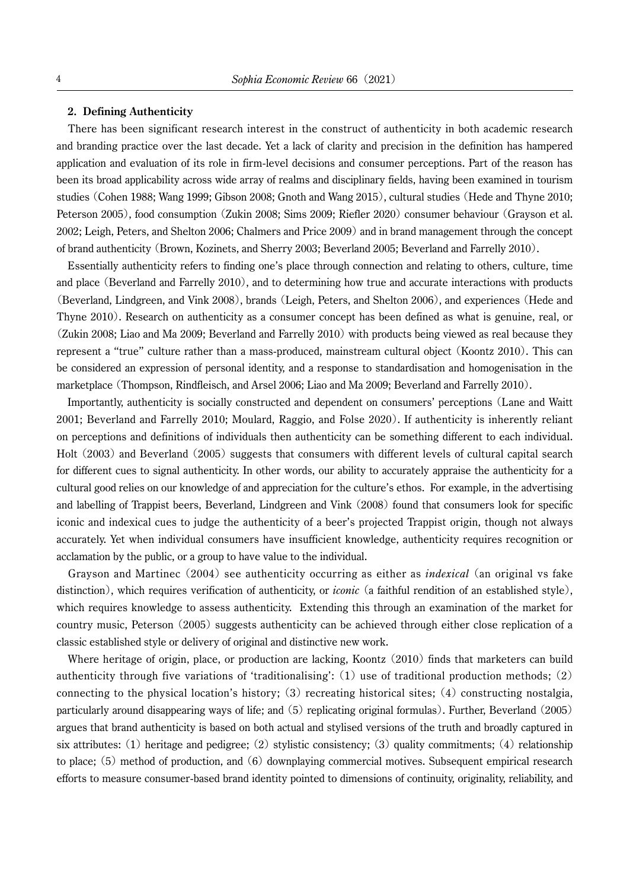#### **2. Defining Authenticity**

There has been significant research interest in the construct of authenticity in both academic research and branding practice over the last decade. Yet a lack of clarity and precision in the definition has hampered application and evaluation of its role in firm-level decisions and consumer perceptions. Part of the reason has been its broad applicability across wide array of realms and disciplinary fields, having been examined in tourism studies (Cohen 1988; Wang 1999; Gibson 2008; Gnoth and Wang 2015), cultural studies (Hede and Thyne 2010; Peterson 2005), food consumption (Zukin 2008; Sims 2009; Riefler 2020) consumer behaviour (Grayson et al. 2002; Leigh, Peters, and Shelton 2006; Chalmers and Price 2009) and in brand management through the concept of brand authenticity (Brown, Kozinets, and Sherry 2003; Beverland 2005; Beverland and Farrelly 2010).

Essentially authenticity refers to finding one's place through connection and relating to others, culture, time and place (Beverland and Farrelly 2010), and to determining how true and accurate interactions with products (Beverland, Lindgreen, and Vink 2008), brands (Leigh, Peters, and Shelton 2006), and experiences (Hede and Thyne 2010). Research on authenticity as a consumer concept has been defined as what is genuine, real, or (Zukin 2008; Liao and Ma 2009; Beverland and Farrelly 2010) with products being viewed as real because they represent a "true" culture rather than a mass-produced, mainstream cultural object (Koontz 2010). This can be considered an expression of personal identity, and a response to standardisation and homogenisation in the marketplace (Thompson, Rindfleisch, and Arsel 2006; Liao and Ma 2009; Beverland and Farrelly 2010).

Importantly, authenticity is socially constructed and dependent on consumers' perceptions (Lane and Waitt 2001; Beverland and Farrelly 2010; Moulard, Raggio, and Folse 2020). If authenticity is inherently reliant on perceptions and definitions of individuals then authenticity can be something different to each individual. Holt (2003) and Beverland (2005) suggests that consumers with different levels of cultural capital search for different cues to signal authenticity. In other words, our ability to accurately appraise the authenticity for a cultural good relies on our knowledge of and appreciation for the culture's ethos. For example, in the advertising and labelling of Trappist beers, Beverland, Lindgreen and Vink (2008) found that consumers look for specific iconic and indexical cues to judge the authenticity of a beer's projected Trappist origin, though not always accurately. Yet when individual consumers have insufficient knowledge, authenticity requires recognition or acclamation by the public, or a group to have value to the individual.

Grayson and Martinec (2004) see authenticity occurring as either as *indexical* (an original vs fake distinction), which requires verification of authenticity, or *iconic* (a faithful rendition of an established style), which requires knowledge to assess authenticity. Extending this through an examination of the market for country music, Peterson (2005) suggests authenticity can be achieved through either close replication of a classic established style or delivery of original and distinctive new work.

Where heritage of origin, place, or production are lacking, Koontz  $(2010)$  finds that marketers can build authenticity through five variations of 'traditionalising':  $(1)$  use of traditional production methods;  $(2)$ connecting to the physical location's history;  $(3)$  recreating historical sites;  $(4)$  constructing nostalgia, particularly around disappearing ways of life; and (5) replicating original formulas). Further, Beverland (2005) argues that brand authenticity is based on both actual and stylised versions of the truth and broadly captured in six attributes: (1) heritage and pedigree; (2) stylistic consistency; (3) quality commitments; (4) relationship to place;  $(5)$  method of production, and  $(6)$  downplaying commercial motives. Subsequent empirical research efforts to measure consumer-based brand identity pointed to dimensions of continuity, originality, reliability, and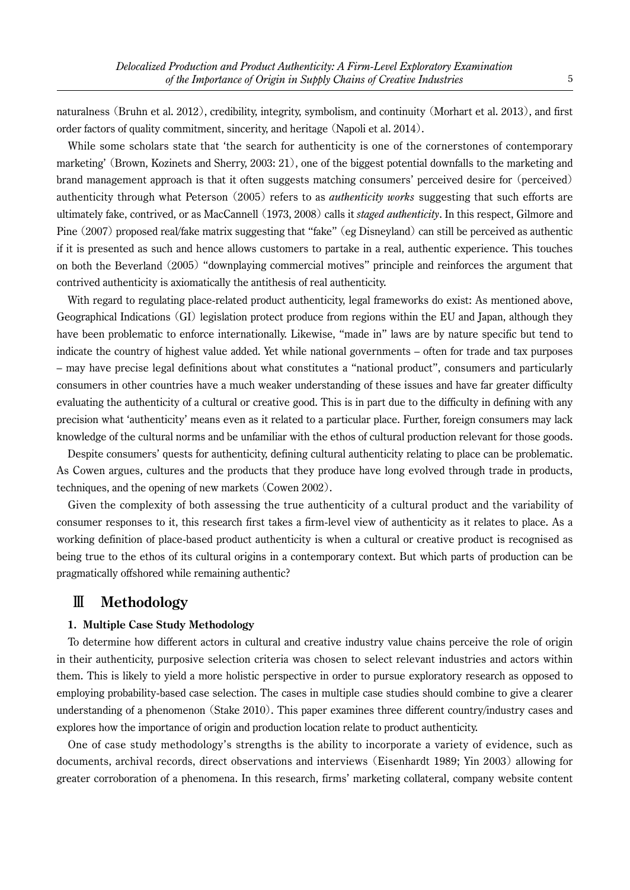naturalness (Bruhn et al. 2012), credibility, integrity, symbolism, and continuity (Morhart et al. 2013), and first order factors of quality commitment, sincerity, and heritage (Napoli et al. 2014).

While some scholars state that 'the search for authenticity is one of the cornerstones of contemporary marketing' (Brown, Kozinets and Sherry, 2003: 21), one of the biggest potential downfalls to the marketing and brand management approach is that it often suggests matching consumers' perceived desire for (perceived) authenticity through what Peterson (2005) refers to as *authenticity works* suggesting that such efforts are ultimately fake, contrived, or as MacCannell (1973, 2008) calls it *staged authenticity*. In this respect, Gilmore and Pine (2007) proposed real/fake matrix suggesting that "fake" (eg Disneyland) can still be perceived as authentic if it is presented as such and hence allows customers to partake in a real, authentic experience. This touches on both the Beverland (2005)"downplaying commercial motives" principle and reinforces the argument that contrived authenticity is axiomatically the antithesis of real authenticity.

With regard to regulating place-related product authenticity, legal frameworks do exist: As mentioned above, Geographical Indications (GI) legislation protect produce from regions within the EU and Japan, although they have been problematic to enforce internationally. Likewise, "made in" laws are by nature specific but tend to indicate the country of highest value added. Yet while national governments – often for trade and tax purposes – may have precise legal definitions about what constitutes a "national product", consumers and particularly consumers in other countries have a much weaker understanding of these issues and have far greater difficulty evaluating the authenticity of a cultural or creative good. This is in part due to the difficulty in defining with any precision what 'authenticity' means even as it related to a particular place. Further, foreign consumers may lack knowledge of the cultural norms and be unfamiliar with the ethos of cultural production relevant for those goods.

Despite consumers' quests for authenticity, defining cultural authenticity relating to place can be problematic. As Cowen argues, cultures and the products that they produce have long evolved through trade in products, techniques, and the opening of new markets (Cowen 2002).

Given the complexity of both assessing the true authenticity of a cultural product and the variability of consumer responses to it, this research first takes a firm-level view of authenticity as it relates to place. As a working definition of place-based product authenticity is when a cultural or creative product is recognised as being true to the ethos of its cultural origins in a contemporary context. But which parts of production can be pragmatically offshored while remaining authentic?

# Ⅲ **Methodology**

#### **1. Multiple Case Study Methodology**

To determine how different actors in cultural and creative industry value chains perceive the role of origin in their authenticity, purposive selection criteria was chosen to select relevant industries and actors within them. This is likely to yield a more holistic perspective in order to pursue exploratory research as opposed to employing probability-based case selection. The cases in multiple case studies should combine to give a clearer understanding of a phenomenon (Stake 2010). This paper examines three different country/industry cases and explores how the importance of origin and production location relate to product authenticity.

One of case study methodology's strengths is the ability to incorporate a variety of evidence, such as documents, archival records, direct observations and interviews (Eisenhardt 1989; Yin 2003) allowing for greater corroboration of a phenomena. In this research, firms' marketing collateral, company website content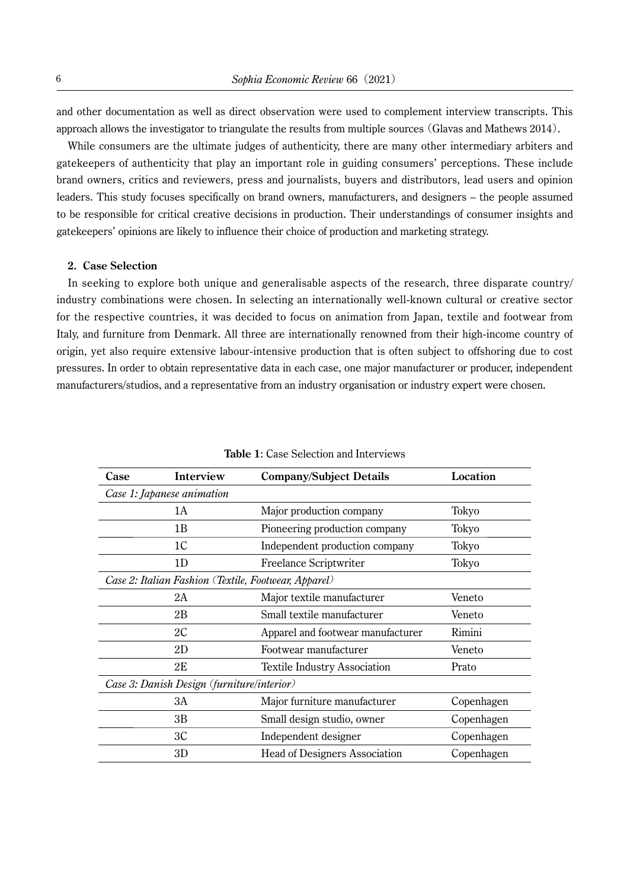and other documentation as well as direct observation were used to complement interview transcripts. This approach allows the investigator to triangulate the results from multiple sources (Glavas and Mathews 2014).

While consumers are the ultimate judges of authenticity, there are many other intermediary arbiters and gatekeepers of authenticity that play an important role in guiding consumers' perceptions. These include brand owners, critics and reviewers, press and journalists, buyers and distributors, lead users and opinion leaders. This study focuses specifically on brand owners, manufacturers, and designers – the people assumed to be responsible for critical creative decisions in production. Their understandings of consumer insights and gatekeepers' opinions are likely to influence their choice of production and marketing strategy.

#### **2. Case Selection**

In seeking to explore both unique and generalisable aspects of the research, three disparate country/ industry combinations were chosen. In selecting an internationally well-known cultural or creative sector for the respective countries, it was decided to focus on animation from Japan, textile and footwear from Italy, and furniture from Denmark. All three are internationally renowned from their high-income country of origin, yet also require extensive labour-intensive production that is often subject to offshoring due to cost pressures. In order to obtain representative data in each case, one major manufacturer or producer, independent manufacturers/studios, and a representative from an industry organisation or industry expert were chosen.

| Case                                                 | Interview                                  | <b>Company/Subject Details</b>       | Location   |
|------------------------------------------------------|--------------------------------------------|--------------------------------------|------------|
|                                                      | Case 1: Japanese animation                 |                                      |            |
|                                                      | 1А                                         | Major production company             | Tokyo      |
|                                                      | 1B                                         | Pioneering production company        | Tokyo      |
|                                                      | 1 <sup>C</sup>                             | Independent production company       | Tokyo      |
|                                                      | 1D                                         | Freelance Scriptwriter               | Tokyo      |
| Case 2: Italian Fashion (Textile, Footwear, Apparel) |                                            |                                      |            |
|                                                      | 2Α                                         | Major textile manufacturer           | Veneto     |
|                                                      | 2B                                         | Small textile manufacturer           | Veneto     |
|                                                      | 2C                                         | Apparel and footwear manufacturer    | Rimini     |
|                                                      | 2D                                         | Footwear manufacturer                | Veneto     |
|                                                      | 2E                                         | <b>Textile Industry Association</b>  | Prato      |
|                                                      | Case 3: Danish Design (furniture/interior) |                                      |            |
|                                                      | ЗA                                         | Major furniture manufacturer         | Copenhagen |
|                                                      | 3B                                         | Small design studio, owner           | Copenhagen |
|                                                      | 3C                                         | Independent designer                 | Copenhagen |
|                                                      | 3D                                         | <b>Head of Designers Association</b> | Copenhagen |

**Table 1**: Case Selection and Interviews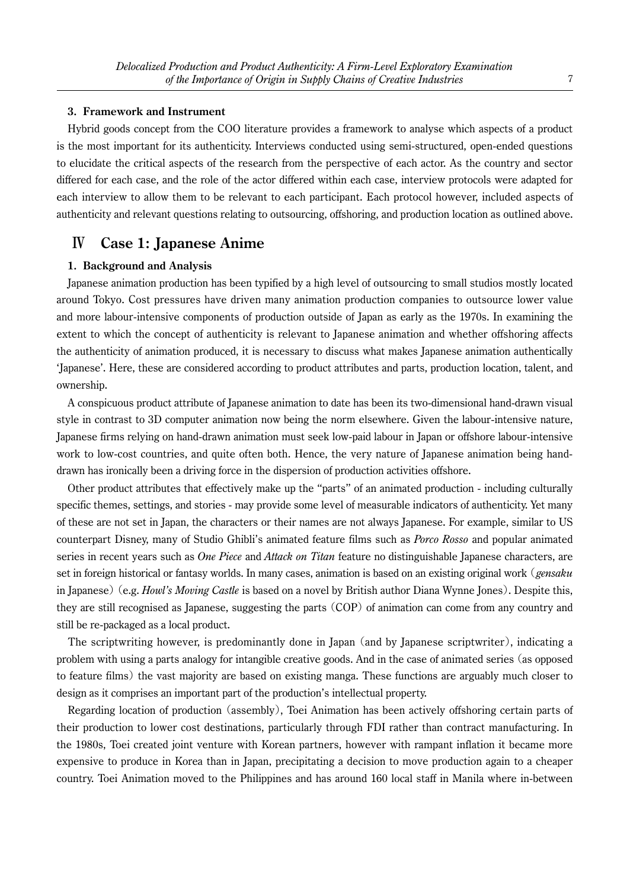#### **3. Framework and Instrument**

Hybrid goods concept from the COO literature provides a framework to analyse which aspects of a product is the most important for its authenticity. Interviews conducted using semi-structured, open-ended questions to elucidate the critical aspects of the research from the perspective of each actor. As the country and sector differed for each case, and the role of the actor differed within each case, interview protocols were adapted for each interview to allow them to be relevant to each participant. Each protocol however, included aspects of authenticity and relevant questions relating to outsourcing, offshoring, and production location as outlined above.

# Ⅳ **Case 1: Japanese Anime**

#### **1. Background and Analysis**

Japanese animation production has been typified by a high level of outsourcing to small studios mostly located around Tokyo. Cost pressures have driven many animation production companies to outsource lower value and more labour-intensive components of production outside of Japan as early as the 1970s. In examining the extent to which the concept of authenticity is relevant to Japanese animation and whether offshoring affects the authenticity of animation produced, it is necessary to discuss what makes Japanese animation authentically 'Japanese'. Here, these are considered according to product attributes and parts, production location, talent, and ownership.

A conspicuous product attribute of Japanese animation to date has been its two-dimensional hand-drawn visual style in contrast to 3D computer animation now being the norm elsewhere. Given the labour-intensive nature, Japanese firms relying on hand-drawn animation must seek low-paid labour in Japan or offshore labour-intensive work to low-cost countries, and quite often both. Hence, the very nature of Japanese animation being handdrawn has ironically been a driving force in the dispersion of production activities offshore.

Other product attributes that effectively make up the "parts" of an animated production - including culturally specific themes, settings, and stories - may provide some level of measurable indicators of authenticity. Yet many of these are not set in Japan, the characters or their names are not always Japanese. For example, similar to US counterpart Disney, many of Studio Ghibli's animated feature films such as *Porco Rosso* and popular animated series in recent years such as *One Piece* and *Attack on Titan* feature no distinguishable Japanese characters, are set in foreign historical or fantasy worlds. In many cases, animation is based on an existing original work (*gensaku* in Japanese)(e.g. *Howl's Moving Castle* is based on a novel by British author Diana Wynne Jones). Despite this, they are still recognised as Japanese, suggesting the parts (COP) of animation can come from any country and still be re-packaged as a local product.

The scriptwriting however, is predominantly done in Japan (and by Japanese scriptwriter), indicating a problem with using a parts analogy for intangible creative goods. And in the case of animated series (as opposed to feature films) the vast majority are based on existing manga. These functions are arguably much closer to design as it comprises an important part of the production's intellectual property.

Regarding location of production (assembly), Toei Animation has been actively offshoring certain parts of their production to lower cost destinations, particularly through FDI rather than contract manufacturing. In the 1980s, Toei created joint venture with Korean partners, however with rampant inflation it became more expensive to produce in Korea than in Japan, precipitating a decision to move production again to a cheaper country. Toei Animation moved to the Philippines and has around 160 local staff in Manila where in-between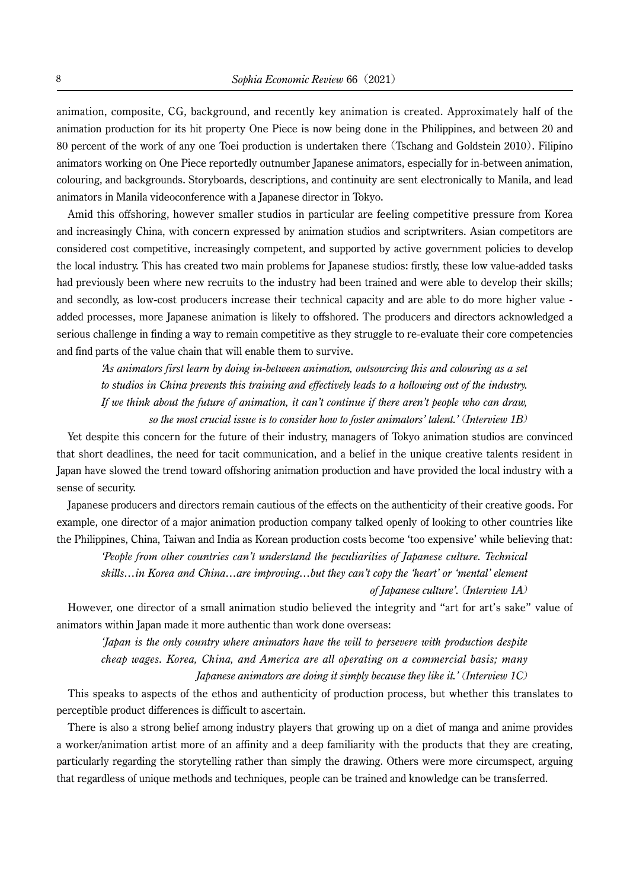animation, composite, CG, background, and recently key animation is created. Approximately half of the animation production for its hit property One Piece is now being done in the Philippines, and between 20 and 80 percent of the work of any one Toei production is undertaken there (Tschang and Goldstein 2010). Filipino animators working on One Piece reportedly outnumber Japanese animators, especially for in-between animation, colouring, and backgrounds. Storyboards, descriptions, and continuity are sent electronically to Manila, and lead animators in Manila videoconference with a Japanese director in Tokyo.

Amid this offshoring, however smaller studios in particular are feeling competitive pressure from Korea and increasingly China, with concern expressed by animation studios and scriptwriters. Asian competitors are considered cost competitive, increasingly competent, and supported by active government policies to develop the local industry. This has created two main problems for Japanese studios: firstly, these low value-added tasks had previously been where new recruits to the industry had been trained and were able to develop their skills; and secondly, as low-cost producers increase their technical capacity and are able to do more higher value added processes, more Japanese animation is likely to offshored. The producers and directors acknowledged a serious challenge in finding a way to remain competitive as they struggle to re-evaluate their core competencies and find parts of the value chain that will enable them to survive.

*'As animators first learn by doing in-between animation, outsourcing this and colouring as a set to studios in China prevents this training and effectively leads to a hollowing out of the industry. If we think about the future of animation, it can't continue if there aren't people who can draw, so the most crucial issue is to consider how to foster animators' talent.'* (*Interview 1B*)

Yet despite this concern for the future of their industry, managers of Tokyo animation studios are convinced that short deadlines, the need for tacit communication, and a belief in the unique creative talents resident in Japan have slowed the trend toward offshoring animation production and have provided the local industry with a sense of security.

Japanese producers and directors remain cautious of the effects on the authenticity of their creative goods. For example, one director of a major animation production company talked openly of looking to other countries like the Philippines, China, Taiwan and India as Korean production costs become 'too expensive' while believing that:

*'People from other countries can't understand the peculiarities of Japanese culture. Technical skills…in Korea and China…are improving…but they can't copy the 'heart' or 'mental' element of Japanese culture'.* (*Interview 1A*)

However, one director of a small animation studio believed the integrity and "art for art's sake" value of animators within Japan made it more authentic than work done overseas:

*'Japan is the only country where animators have the will to persevere with production despite cheap wages. Korea, China, and America are all operating on a commercial basis; many Japanese animators are doing it simply because they like it.'* (*Interview 1C*)

This speaks to aspects of the ethos and authenticity of production process, but whether this translates to perceptible product differences is difficult to ascertain.

There is also a strong belief among industry players that growing up on a diet of manga and anime provides a worker/animation artist more of an affinity and a deep familiarity with the products that they are creating, particularly regarding the storytelling rather than simply the drawing. Others were more circumspect, arguing that regardless of unique methods and techniques, people can be trained and knowledge can be transferred.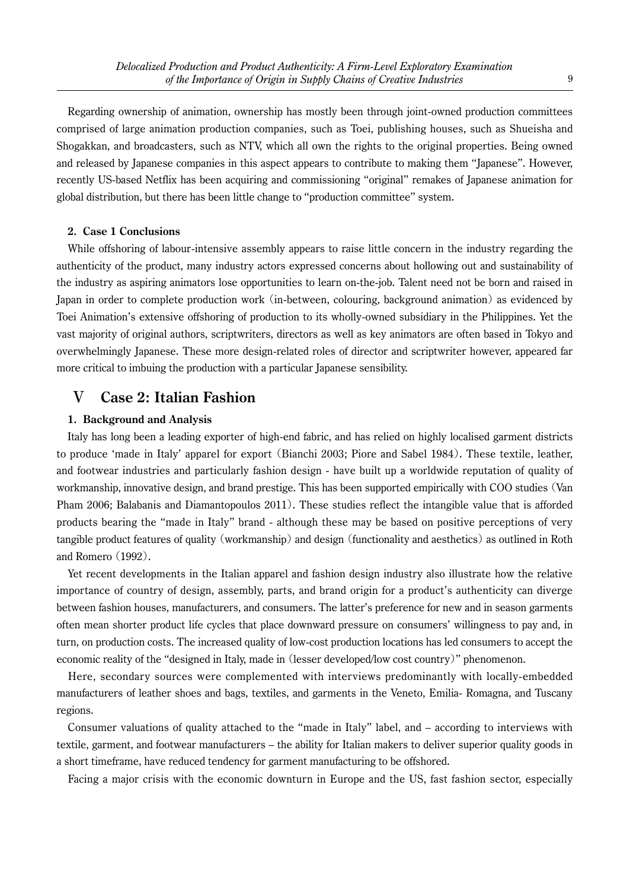Regarding ownership of animation, ownership has mostly been through joint-owned production committees comprised of large animation production companies, such as Toei, publishing houses, such as Shueisha and Shogakkan, and broadcasters, such as NTV, which all own the rights to the original properties. Being owned and released by Japanese companies in this aspect appears to contribute to making them "Japanese". However, recently US-based Netflix has been acquiring and commissioning "original" remakes of Japanese animation for global distribution, but there has been little change to "production committee" system.

#### **2. Case 1 Conclusions**

While offshoring of labour-intensive assembly appears to raise little concern in the industry regarding the authenticity of the product, many industry actors expressed concerns about hollowing out and sustainability of the industry as aspiring animators lose opportunities to learn on-the-job. Talent need not be born and raised in Japan in order to complete production work (in-between, colouring, background animation) as evidenced by Toei Animation's extensive offshoring of production to its wholly-owned subsidiary in the Philippines. Yet the vast majority of original authors, scriptwriters, directors as well as key animators are often based in Tokyo and overwhelmingly Japanese. These more design-related roles of director and scriptwriter however, appeared far more critical to imbuing the production with a particular Japanese sensibility.

# Ⅴ **Case 2: Italian Fashion**

#### **1. Background and Analysis**

Italy has long been a leading exporter of high-end fabric, and has relied on highly localised garment districts to produce 'made in Italy' apparel for export (Bianchi 2003; Piore and Sabel 1984). These textile, leather, and footwear industries and particularly fashion design - have built up a worldwide reputation of quality of workmanship, innovative design, and brand prestige. This has been supported empirically with COO studies (Van Pham 2006; Balabanis and Diamantopoulos 2011). These studies reflect the intangible value that is afforded products bearing the "made in Italy" brand - although these may be based on positive perceptions of very tangible product features of quality (workmanship) and design (functionality and aesthetics) as outlined in Roth and Romero (1992).

Yet recent developments in the Italian apparel and fashion design industry also illustrate how the relative importance of country of design, assembly, parts, and brand origin for a product's authenticity can diverge between fashion houses, manufacturers, and consumers. The latter's preference for new and in season garments often mean shorter product life cycles that place downward pressure on consumers' willingness to pay and, in turn, on production costs. The increased quality of low-cost production locations has led consumers to accept the economic reality of the "designed in Italy, made in (lesser developed/low cost country)" phenomenon.

Here, secondary sources were complemented with interviews predominantly with locally-embedded manufacturers of leather shoes and bags, textiles, and garments in the Veneto, Emilia- Romagna, and Tuscany regions.

Consumer valuations of quality attached to the "made in Italy" label, and – according to interviews with textile, garment, and footwear manufacturers – the ability for Italian makers to deliver superior quality goods in a short timeframe, have reduced tendency for garment manufacturing to be offshored.

Facing a major crisis with the economic downturn in Europe and the US, fast fashion sector, especially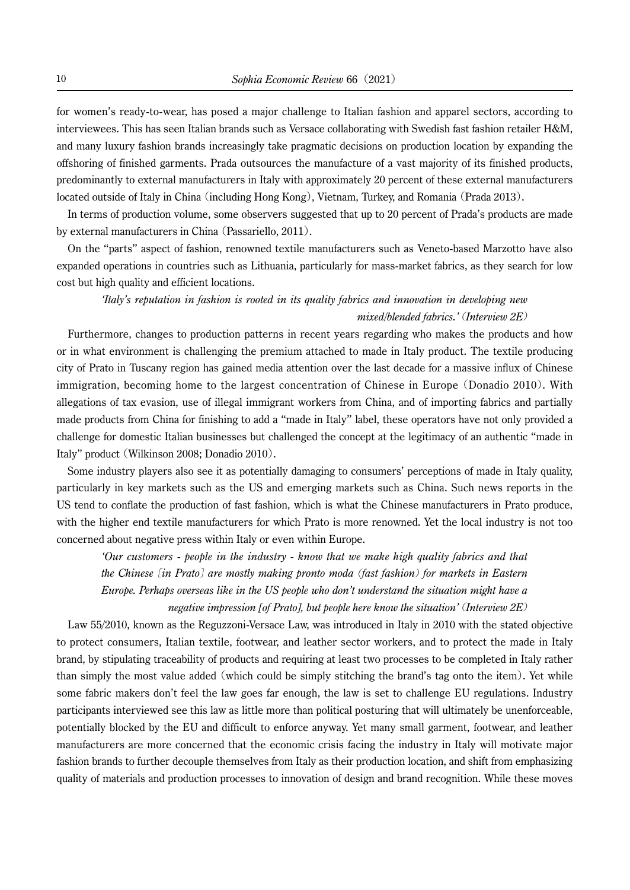for women's ready-to-wear, has posed a major challenge to Italian fashion and apparel sectors, according to interviewees. This has seen Italian brands such as Versace collaborating with Swedish fast fashion retailer H&M, and many luxury fashion brands increasingly take pragmatic decisions on production location by expanding the offshoring of finished garments. Prada outsources the manufacture of a vast majority of its finished products, predominantly to external manufacturers in Italy with approximately 20 percent of these external manufacturers located outside of Italy in China (including Hong Kong), Vietnam, Turkey, and Romania (Prada 2013).

In terms of production volume, some observers suggested that up to 20 percent of Prada's products are made by external manufacturers in China (Passariello, 2011).

On the "parts" aspect of fashion, renowned textile manufacturers such as Veneto-based Marzotto have also expanded operations in countries such as Lithuania, particularly for mass-market fabrics, as they search for low cost but high quality and efficient locations.

# *'Italy's reputation in fashion is rooted in its quality fabrics and innovation in developing new mixed/blended fabrics.'* (*Interview 2E*)

Furthermore, changes to production patterns in recent years regarding who makes the products and how or in what environment is challenging the premium attached to made in Italy product. The textile producing city of Prato in Tuscany region has gained media attention over the last decade for a massive influx of Chinese immigration, becoming home to the largest concentration of Chinese in Europe (Donadio 2010). With allegations of tax evasion, use of illegal immigrant workers from China, and of importing fabrics and partially made products from China for finishing to add a "made in Italy" label, these operators have not only provided a challenge for domestic Italian businesses but challenged the concept at the legitimacy of an authentic "made in Italy" product (Wilkinson 2008; Donadio 2010).

Some industry players also see it as potentially damaging to consumers' perceptions of made in Italy quality, particularly in key markets such as the US and emerging markets such as China. Such news reports in the US tend to conflate the production of fast fashion, which is what the Chinese manufacturers in Prato produce, with the higher end textile manufacturers for which Prato is more renowned. Yet the local industry is not too concerned about negative press within Italy or even within Europe.

*'Our customers - people in the industry - know that we make high quality fabrics and that the Chinese* [*in Prato*] *are mostly making pronto moda* (*fast fashion*) *for markets in Eastern Europe. Perhaps overseas like in the US people who don't understand the situation might have a negative impression [of Prato], but people here know the situation'* (*Interview 2E*)

Law 55/2010, known as the Reguzzoni-Versace Law, was introduced in Italy in 2010 with the stated objective to protect consumers, Italian textile, footwear, and leather sector workers, and to protect the made in Italy brand, by stipulating traceability of products and requiring at least two processes to be completed in Italy rather than simply the most value added (which could be simply stitching the brand's tag onto the item). Yet while some fabric makers don't feel the law goes far enough, the law is set to challenge EU regulations. Industry participants interviewed see this law as little more than political posturing that will ultimately be unenforceable, potentially blocked by the EU and difficult to enforce anyway. Yet many small garment, footwear, and leather manufacturers are more concerned that the economic crisis facing the industry in Italy will motivate major fashion brands to further decouple themselves from Italy as their production location, and shift from emphasizing quality of materials and production processes to innovation of design and brand recognition. While these moves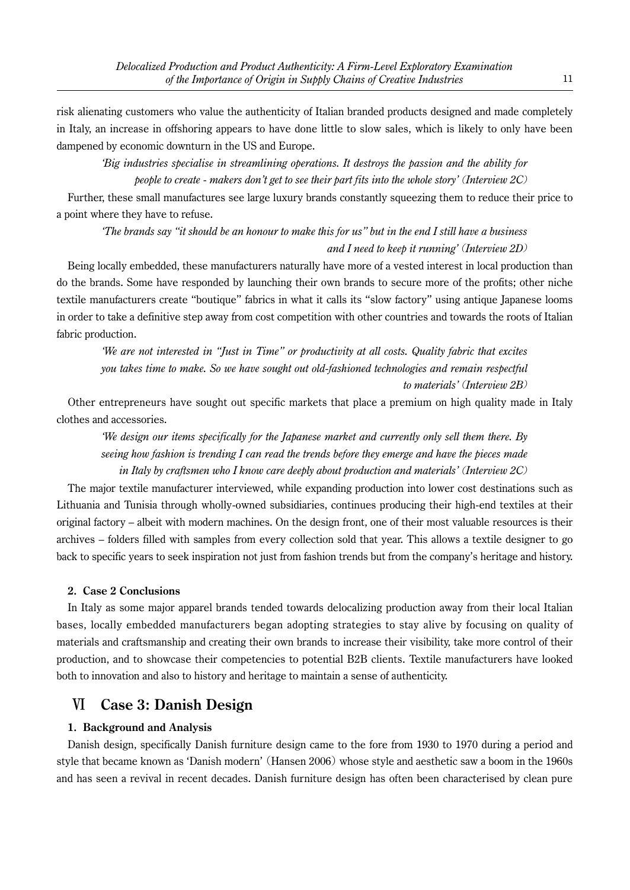risk alienating customers who value the authenticity of Italian branded products designed and made completely in Italy, an increase in offshoring appears to have done little to slow sales, which is likely to only have been dampened by economic downturn in the US and Europe.

*'Big industries specialise in streamlining operations. It destroys the passion and the ability for people to create - makers don't get to see their part fits into the whole story'* (*Interview 2C*)

Further, these small manufactures see large luxury brands constantly squeezing them to reduce their price to a point where they have to refuse.

*'The brands say "it should be an honour to make this for us" but in the end I still have a business and I need to keep it running'* (*Interview 2D*)

Being locally embedded, these manufacturers naturally have more of a vested interest in local production than do the brands. Some have responded by launching their own brands to secure more of the profits; other niche textile manufacturers create "boutique" fabrics in what it calls its "slow factory" using antique Japanese looms in order to take a definitive step away from cost competition with other countries and towards the roots of Italian fabric production.

*'We are not interested in "Just in Time" or productivity at all costs. Quality fabric that excites you takes time to make. So we have sought out old-fashioned technologies and remain respectful to materials'* (*Interview 2B*)

Other entrepreneurs have sought out specific markets that place a premium on high quality made in Italy clothes and accessories.

*'We design our items specifically for the Japanese market and currently only sell them there. By seeing how fashion is trending I can read the trends before they emerge and have the pieces made in Italy by craftsmen who I know care deeply about production and materials'* (*Interview 2C*)

The major textile manufacturer interviewed, while expanding production into lower cost destinations such as Lithuania and Tunisia through wholly-owned subsidiaries, continues producing their high-end textiles at their original factory – albeit with modern machines. On the design front, one of their most valuable resources is their archives – folders filled with samples from every collection sold that year. This allows a textile designer to go back to specific years to seek inspiration not just from fashion trends but from the company's heritage and history.

## **2. Case 2 Conclusions**

In Italy as some major apparel brands tended towards delocalizing production away from their local Italian bases, locally embedded manufacturers began adopting strategies to stay alive by focusing on quality of materials and craftsmanship and creating their own brands to increase their visibility, take more control of their production, and to showcase their competencies to potential B2B clients. Textile manufacturers have looked both to innovation and also to history and heritage to maintain a sense of authenticity.

# Ⅵ **Case 3: Danish Design**

## **1. Background and Analysis**

Danish design, specifically Danish furniture design came to the fore from 1930 to 1970 during a period and style that became known as 'Danish modern' (Hansen 2006) whose style and aesthetic saw a boom in the 1960s and has seen a revival in recent decades. Danish furniture design has often been characterised by clean pure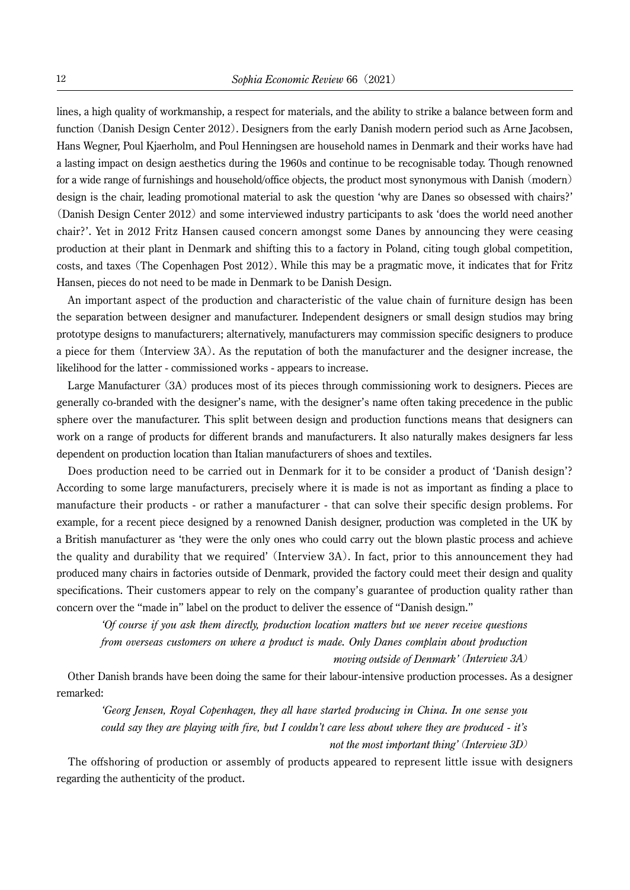lines, a high quality of workmanship, a respect for materials, and the ability to strike a balance between form and function (Danish Design Center 2012). Designers from the early Danish modern period such as Arne Jacobsen, Hans Wegner, Poul Kjaerholm, and Poul Henningsen are household names in Denmark and their works have had a lasting impact on design aesthetics during the 1960s and continue to be recognisable today. Though renowned for a wide range of furnishings and household/office objects, the product most synonymous with Danish (modern) design is the chair, leading promotional material to ask the question 'why are Danes so obsessed with chairs?' (Danish Design Center 2012) and some interviewed industry participants to ask 'does the world need another chair?'. Yet in 2012 Fritz Hansen caused concern amongst some Danes by announcing they were ceasing production at their plant in Denmark and shifting this to a factory in Poland, citing tough global competition, costs, and taxes (The Copenhagen Post 2012). While this may be a pragmatic move, it indicates that for Fritz Hansen, pieces do not need to be made in Denmark to be Danish Design.

An important aspect of the production and characteristic of the value chain of furniture design has been the separation between designer and manufacturer. Independent designers or small design studios may bring prototype designs to manufacturers; alternatively, manufacturers may commission specific designers to produce a piece for them (Interview 3A). As the reputation of both the manufacturer and the designer increase, the likelihood for the latter - commissioned works - appears to increase.

Large Manufacturer (3A) produces most of its pieces through commissioning work to designers. Pieces are generally co-branded with the designer's name, with the designer's name often taking precedence in the public sphere over the manufacturer. This split between design and production functions means that designers can work on a range of products for different brands and manufacturers. It also naturally makes designers far less dependent on production location than Italian manufacturers of shoes and textiles.

Does production need to be carried out in Denmark for it to be consider a product of 'Danish design'? According to some large manufacturers, precisely where it is made is not as important as finding a place to manufacture their products - or rather a manufacturer - that can solve their specific design problems. For example, for a recent piece designed by a renowned Danish designer, production was completed in the UK by a British manufacturer as 'they were the only ones who could carry out the blown plastic process and achieve the quality and durability that we required' (Interview 3A). In fact, prior to this announcement they had produced many chairs in factories outside of Denmark, provided the factory could meet their design and quality specifications. Their customers appear to rely on the company's guarantee of production quality rather than concern over the "made in" label on the product to deliver the essence of "Danish design."

*'Of course if you ask them directly, production location matters but we never receive questions from overseas customers on where a product is made. Only Danes complain about production* 

*moving outside of Denmark'* (*Interview 3A*)

Other Danish brands have been doing the same for their labour-intensive production processes. As a designer remarked:

*'Georg Jensen, Royal Copenhagen, they all have started producing in China. In one sense you could say they are playing with fire, but I couldn't care less about where they are produced - it's not the most important thing'* (*Interview 3D*)

The offshoring of production or assembly of products appeared to represent little issue with designers regarding the authenticity of the product.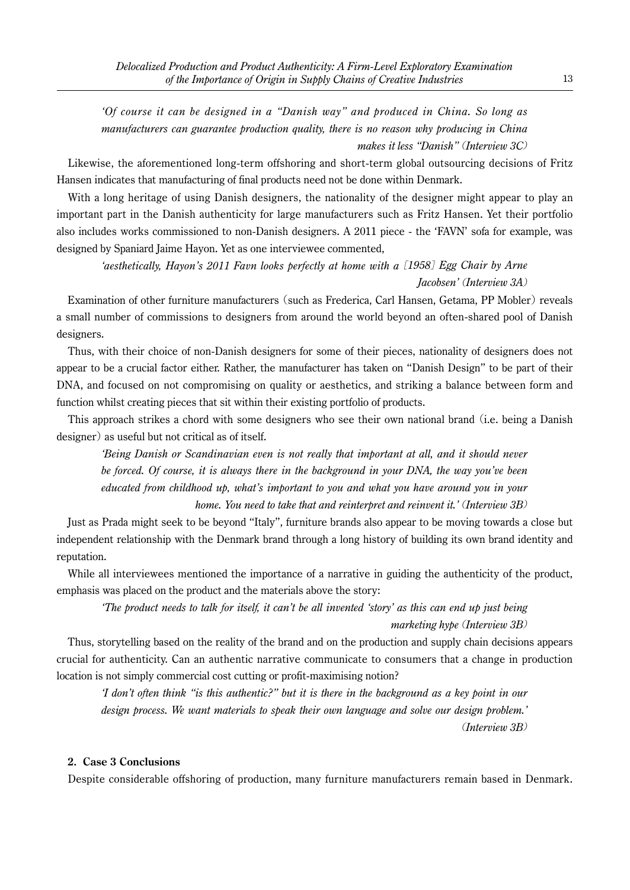*'Of course it can be designed in a "Danish way" and produced in China. So long as manufacturers can guarantee production quality, there is no reason why producing in China makes it less "Danish"* (*Interview 3C*)

Likewise, the aforementioned long-term offshoring and short-term global outsourcing decisions of Fritz Hansen indicates that manufacturing of final products need not be done within Denmark.

With a long heritage of using Danish designers, the nationality of the designer might appear to play an important part in the Danish authenticity for large manufacturers such as Fritz Hansen. Yet their portfolio also includes works commissioned to non-Danish designers. A 2011 piece - the 'FAVN' sofa for example, was designed by Spaniard Jaime Hayon. Yet as one interviewee commented,

*'aesthetically, Hayon's 2011 Favn looks perfectly at home with a* [*1958*] *Egg Chair by Arne Jacobsen'* (*Interview 3A*)

Examination of other furniture manufacturers (such as Frederica, Carl Hansen, Getama, PP Mobler) reveals a small number of commissions to designers from around the world beyond an often-shared pool of Danish designers.

Thus, with their choice of non-Danish designers for some of their pieces, nationality of designers does not appear to be a crucial factor either. Rather, the manufacturer has taken on "Danish Design" to be part of their DNA, and focused on not compromising on quality or aesthetics, and striking a balance between form and function whilst creating pieces that sit within their existing portfolio of products.

This approach strikes a chord with some designers who see their own national brand (i.e. being a Danish designer) as useful but not critical as of itself.

*'Being Danish or Scandinavian even is not really that important at all, and it should never be forced. Of course, it is always there in the background in your DNA, the way you've been educated from childhood up, what's important to you and what you have around you in your home. You need to take that and reinterpret and reinvent it.'* (*Interview 3B*)

Just as Prada might seek to be beyond "Italy", furniture brands also appear to be moving towards a close but independent relationship with the Denmark brand through a long history of building its own brand identity and reputation.

While all interviewees mentioned the importance of a narrative in guiding the authenticity of the product, emphasis was placed on the product and the materials above the story:

*'The product needs to talk for itself, it can't be all invented 'story' as this can end up just being marketing hype* (*Interview 3B*)

Thus, storytelling based on the reality of the brand and on the production and supply chain decisions appears crucial for authenticity. Can an authentic narrative communicate to consumers that a change in production location is not simply commercial cost cutting or profit-maximising notion?

*'I don't often think "is this authentic?" but it is there in the background as a key point in our design process. We want materials to speak their own language and solve our design problem.'*  (*Interview 3B*)

#### **2. Case 3 Conclusions**

Despite considerable offshoring of production, many furniture manufacturers remain based in Denmark.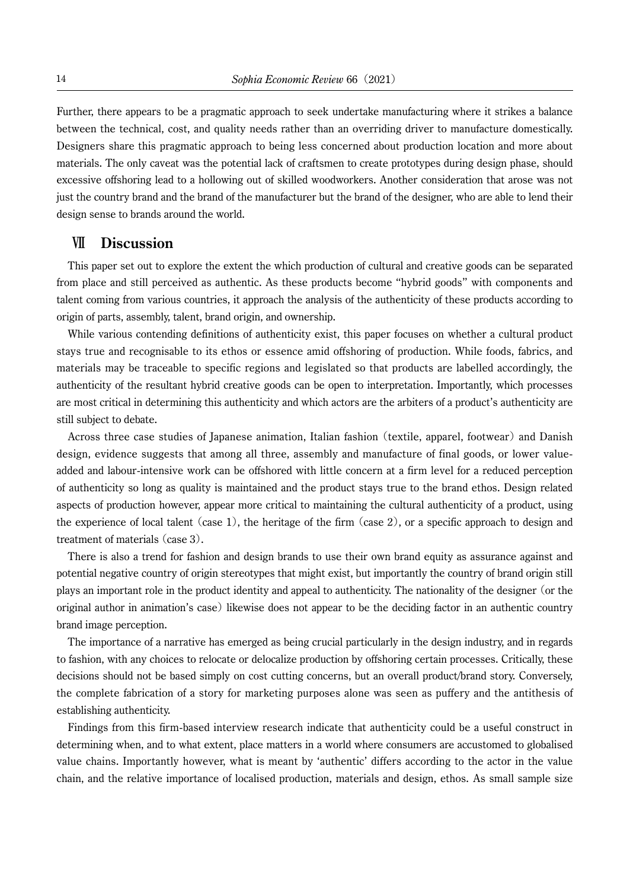Further, there appears to be a pragmatic approach to seek undertake manufacturing where it strikes a balance between the technical, cost, and quality needs rather than an overriding driver to manufacture domestically. Designers share this pragmatic approach to being less concerned about production location and more about materials. The only caveat was the potential lack of craftsmen to create prototypes during design phase, should excessive offshoring lead to a hollowing out of skilled woodworkers. Another consideration that arose was not just the country brand and the brand of the manufacturer but the brand of the designer, who are able to lend their design sense to brands around the world.

## Ⅶ **Discussion**

This paper set out to explore the extent the which production of cultural and creative goods can be separated from place and still perceived as authentic. As these products become "hybrid goods" with components and talent coming from various countries, it approach the analysis of the authenticity of these products according to origin of parts, assembly, talent, brand origin, and ownership.

While various contending definitions of authenticity exist, this paper focuses on whether a cultural product stays true and recognisable to its ethos or essence amid offshoring of production. While foods, fabrics, and materials may be traceable to specific regions and legislated so that products are labelled accordingly, the authenticity of the resultant hybrid creative goods can be open to interpretation. Importantly, which processes are most critical in determining this authenticity and which actors are the arbiters of a product's authenticity are still subject to debate.

Across three case studies of Japanese animation, Italian fashion (textile, apparel, footwear)and Danish design, evidence suggests that among all three, assembly and manufacture of final goods, or lower valueadded and labour-intensive work can be offshored with little concern at a firm level for a reduced perception of authenticity so long as quality is maintained and the product stays true to the brand ethos. Design related aspects of production however, appear more critical to maintaining the cultural authenticity of a product, using the experience of local talent (case 1), the heritage of the firm (case 2), or a specific approach to design and treatment of materials (case 3).

There is also a trend for fashion and design brands to use their own brand equity as assurance against and potential negative country of origin stereotypes that might exist, but importantly the country of brand origin still plays an important role in the product identity and appeal to authenticity. The nationality of the designer (or the original author in animation's case) likewise does not appear to be the deciding factor in an authentic country brand image perception.

The importance of a narrative has emerged as being crucial particularly in the design industry, and in regards to fashion, with any choices to relocate or delocalize production by offshoring certain processes. Critically, these decisions should not be based simply on cost cutting concerns, but an overall product/brand story. Conversely, the complete fabrication of a story for marketing purposes alone was seen as puffery and the antithesis of establishing authenticity.

Findings from this firm-based interview research indicate that authenticity could be a useful construct in determining when, and to what extent, place matters in a world where consumers are accustomed to globalised value chains. Importantly however, what is meant by 'authentic' differs according to the actor in the value chain, and the relative importance of localised production, materials and design, ethos. As small sample size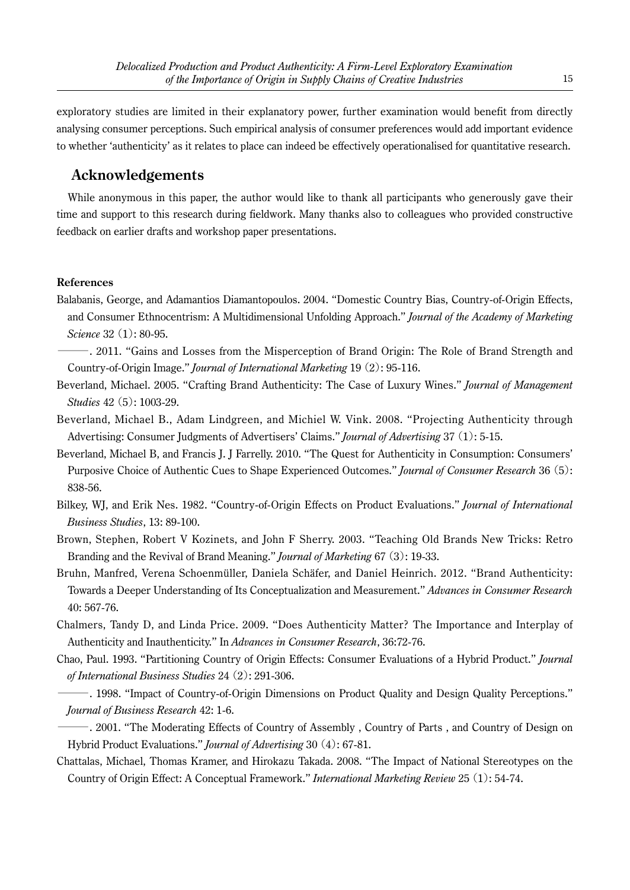exploratory studies are limited in their explanatory power, further examination would benefit from directly analysing consumer perceptions. Such empirical analysis of consumer preferences would add important evidence to whether 'authenticity' as it relates to place can indeed be effectively operationalised for quantitative research.

# **Acknowledgements**

While anonymous in this paper, the author would like to thank all participants who generously gave their time and support to this research during fieldwork. Many thanks also to colleagues who provided constructive feedback on earlier drafts and workshop paper presentations.

#### **References**

- Balabanis, George, and Adamantios Diamantopoulos. 2004. "Domestic Country Bias, Country-of-Origin Effects, and Consumer Ethnocentrism: A Multidimensional Unfolding Approach." *Journal of the Academy of Marketing Science* 32 (1): 80-95.
	- ―. 2011. "Gains and Losses from the Misperception of Brand Origin: The Role of Brand Strength and Country-of-Origin Image." *Journal of International Marketing* 19 (2): 95-116.
- Beverland, Michael. 2005. "Crafting Brand Authenticity: The Case of Luxury Wines." *Journal of Management Studies* 42 (5): 1003-29.
- Beverland, Michael B., Adam Lindgreen, and Michiel W. Vink. 2008. "Projecting Authenticity through Advertising: Consumer Judgments of Advertisers' Claims." *Journal of Advertising* 37 (1): 5-15.
- Beverland, Michael B, and Francis J. J Farrelly. 2010. "The Quest for Authenticity in Consumption: Consumers' Purposive Choice of Authentic Cues to Shape Experienced Outcomes." *Journal of Consumer Research* 36 (5): 838-56.
- Bilkey, WJ, and Erik Nes. 1982. "Country-of-Origin Effects on Product Evaluations." *Journal of International Business Studies*, 13: 89-100.
- Brown, Stephen, Robert V Kozinets, and John F Sherry. 2003. "Teaching Old Brands New Tricks: Retro Branding and the Revival of Brand Meaning." *Journal of Marketing* 67 (3): 19-33.
- Bruhn, Manfred, Verena Schoenmüller, Daniela Schäfer, and Daniel Heinrich. 2012. "Brand Authenticity: Towards a Deeper Understanding of Its Conceptualization and Measurement." *Advances in Consumer Research* 40: 567-76.
- Chalmers, Tandy D, and Linda Price. 2009. "Does Authenticity Matter? The Importance and Interplay of Authenticity and Inauthenticity." In *Advances in Consumer Research*, 36:72-76.
- Chao, Paul. 1993. "Partitioning Country of Origin Effects: Consumer Evaluations of a Hybrid Product." *Journal of International Business Studies* 24 (2): 291-306.
- ―. 1998. "Impact of Country-of-Origin Dimensions on Product Quality and Design Quality Perceptions." *Journal of Business Research* 42: 1-6.
- ―. 2001. "The Moderating Effects of Country of Assembly , Country of Parts , and Country of Design on Hybrid Product Evaluations." *Journal of Advertising* 30 (4): 67-81.
- Chattalas, Michael, Thomas Kramer, and Hirokazu Takada. 2008. "The Impact of National Stereotypes on the Country of Origin Effect: A Conceptual Framework." *International Marketing Review* 25 (1): 54-74.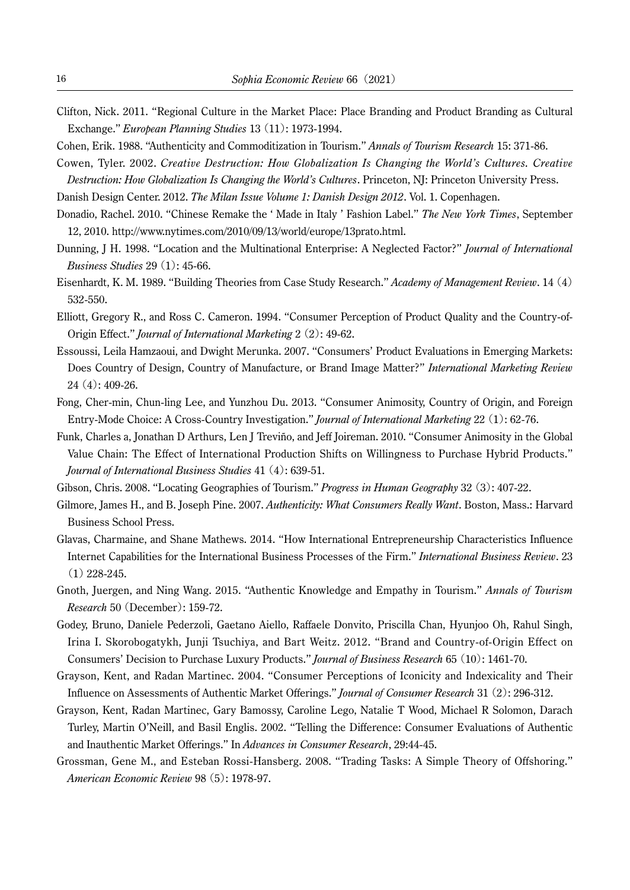- Clifton, Nick. 2011. "Regional Culture in the Market Place: Place Branding and Product Branding as Cultural Exchange." *European Planning Studies* 13 (11): 1973-1994.
- Cohen, Erik. 1988. "Authenticity and Commoditization in Tourism." *Annals of Tourism Research* 15: 371-86.
- Cowen, Tyler. 2002. *Creative Destruction: How Globalization Is Changing the World's Cultures. Creative Destruction: How Globalization Is Changing the World's Cultures*. Princeton, NJ: Princeton University Press.
- Danish Design Center. 2012. *The Milan Issue Volume 1: Danish Design 2012*. Vol. 1. Copenhagen.
- Donadio, Rachel. 2010. "Chinese Remake the ' Made in Italy ' Fashion Label." *The New York Times*, September 12, 2010. http://www.nytimes.com/2010/09/13/world/europe/13prato.html.
- Dunning, J H. 1998. "Location and the Multinational Enterprise: A Neglected Factor?" *Journal of International Business Studies* 29 (1): 45-66.
- Eisenhardt, K. M. 1989. "Building Theories from Case Study Research." *Academy of Management Review*. 14 (4) 532-550.
- Elliott, Gregory R., and Ross C. Cameron. 1994. "Consumer Perception of Product Quality and the Country-of-Origin Effect." *Journal of International Marketing* 2 (2): 49-62.
- Essoussi, Leila Hamzaoui, and Dwight Merunka. 2007. "Consumers' Product Evaluations in Emerging Markets: Does Country of Design, Country of Manufacture, or Brand Image Matter?" *International Marketing Review* 24 (4): 409-26.
- Fong, Cher-min, Chun-ling Lee, and Yunzhou Du. 2013. "Consumer Animosity, Country of Origin, and Foreign Entry-Mode Choice: A Cross-Country Investigation." *Journal of International Marketing* 22 (1): 62-76.
- Funk, Charles a, Jonathan D Arthurs, Len J Treviño, and Jeff Joireman. 2010. "Consumer Animosity in the Global Value Chain: The Effect of International Production Shifts on Willingness to Purchase Hybrid Products." *Journal of International Business Studies* 41 (4): 639-51.
- Gibson, Chris. 2008. "Locating Geographies of Tourism." *Progress in Human Geography* 32 (3): 407-22.
- Gilmore, James H., and B. Joseph Pine. 2007. *Authenticity: What Consumers Really Want*. Boston, Mass.: Harvard Business School Press.
- Glavas, Charmaine, and Shane Mathews. 2014. "How International Entrepreneurship Characteristics Influence Internet Capabilities for the International Business Processes of the Firm." *International Business Review*. 23 (1) 228-245.
- Gnoth, Juergen, and Ning Wang. 2015. "Authentic Knowledge and Empathy in Tourism." *Annals of Tourism Research* 50 (December): 159-72.
- Godey, Bruno, Daniele Pederzoli, Gaetano Aiello, Raffaele Donvito, Priscilla Chan, Hyunjoo Oh, Rahul Singh, Irina I. Skorobogatykh, Junji Tsuchiya, and Bart Weitz. 2012. "Brand and Country-of-Origin Effect on Consumers' Decision to Purchase Luxury Products." *Journal of Business Research* 65 (10): 1461-70.
- Grayson, Kent, and Radan Martinec. 2004. "Consumer Perceptions of Iconicity and Indexicality and Their Influence on Assessments of Authentic Market Offerings." *Journal of Consumer Research* 31 (2): 296-312.
- Grayson, Kent, Radan Martinec, Gary Bamossy, Caroline Lego, Natalie T Wood, Michael R Solomon, Darach Turley, Martin O'Neill, and Basil Englis. 2002. "Telling the Difference: Consumer Evaluations of Authentic and Inauthentic Market Offerings." In *Advances in Consumer Research*, 29:44-45.
- Grossman, Gene M., and Esteban Rossi-Hansberg. 2008. "Trading Tasks: A Simple Theory of Offshoring." *American Economic Review* 98 (5): 1978-97.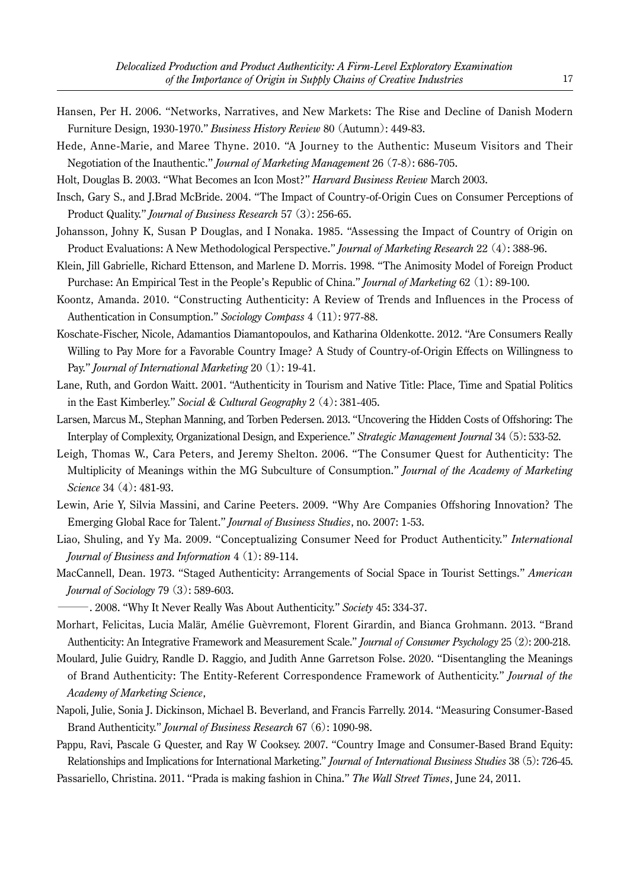- Hansen, Per H. 2006. "Networks, Narratives, and New Markets: The Rise and Decline of Danish Modern Furniture Design, 1930-1970." *Business History Review* 80 (Autumn): 449-83.
- Hede, Anne-Marie, and Maree Thyne. 2010. "A Journey to the Authentic: Museum Visitors and Their Negotiation of the Inauthentic." *Journal of Marketing Management* 26 (7-8): 686-705.
- Holt, Douglas B. 2003. "What Becomes an Icon Most?" *Harvard Business Review* March 2003.
- Insch, Gary S., and J.Brad McBride. 2004. "The Impact of Country-of-Origin Cues on Consumer Perceptions of Product Quality." *Journal of Business Research* 57 (3): 256-65.
- Johansson, Johny K, Susan P Douglas, and I Nonaka. 1985. "Assessing the Impact of Country of Origin on Product Evaluations: A New Methodological Perspective." *Journal of Marketing Research* 22 (4): 388-96.
- Klein, Jill Gabrielle, Richard Ettenson, and Marlene D. Morris. 1998. "The Animosity Model of Foreign Product Purchase: An Empirical Test in the People's Republic of China." *Journal of Marketing* 62 (1): 89-100.
- Koontz, Amanda. 2010. "Constructing Authenticity: A Review of Trends and Influences in the Process of Authentication in Consumption." *Sociology Compass* 4 (11): 977-88.
- Koschate-Fischer, Nicole, Adamantios Diamantopoulos, and Katharina Oldenkotte. 2012. "Are Consumers Really Willing to Pay More for a Favorable Country Image? A Study of Country-of-Origin Effects on Willingness to Pay." *Journal of International Marketing* 20 (1): 19-41.
- Lane, Ruth, and Gordon Waitt. 2001. "Authenticity in Tourism and Native Title: Place, Time and Spatial Politics in the East Kimberley." *Social & Cultural Geography* 2 (4): 381-405.
- Larsen, Marcus M., Stephan Manning, and Torben Pedersen. 2013. "Uncovering the Hidden Costs of Offshoring: The Interplay of Complexity, Organizational Design, and Experience." *Strategic Management Journal* 34 (5): 533-52.
- Leigh, Thomas W., Cara Peters, and Jeremy Shelton. 2006. "The Consumer Quest for Authenticity: The Multiplicity of Meanings within the MG Subculture of Consumption." *Journal of the Academy of Marketing Science* 34 (4): 481-93.
- Lewin, Arie Y, Silvia Massini, and Carine Peeters. 2009. "Why Are Companies Offshoring Innovation? The Emerging Global Race for Talent." *Journal of Business Studies*, no. 2007: 1-53.
- Liao, Shuling, and Yy Ma. 2009. "Conceptualizing Consumer Need for Product Authenticity." *International Journal of Business and Information* 4 (1): 89-114.
- MacCannell, Dean. 1973. "Staged Authenticity: Arrangements of Social Space in Tourist Settings." *American Journal of Sociology* 79 (3): 589-603.
- ―. 2008. "Why It Never Really Was About Authenticity." *Society* 45: 334-37.
- Morhart, Felicitas, Lucia Malär, Amélie Guèvremont, Florent Girardin, and Bianca Grohmann. 2013. "Brand Authenticity: An Integrative Framework and Measurement Scale." *Journal of Consumer Psychology* 25 (2): 200-218.
- Moulard, Julie Guidry, Randle D. Raggio, and Judith Anne Garretson Folse. 2020. "Disentangling the Meanings of Brand Authenticity: The Entity-Referent Correspondence Framework of Authenticity." *Journal of the Academy of Marketing Science*,
- Napoli, Julie, Sonia J. Dickinson, Michael B. Beverland, and Francis Farrelly. 2014. "Measuring Consumer-Based Brand Authenticity." *Journal of Business Research* 67 (6): 1090-98.
- Pappu, Ravi, Pascale G Quester, and Ray W Cooksey. 2007. "Country Image and Consumer-Based Brand Equity: Relationships and Implications for International Marketing." *Journal of International Business Studies* 38 (5): 726-45. Passariello, Christina. 2011. "Prada is making fashion in China." *The Wall Street Times*, June 24, 2011.